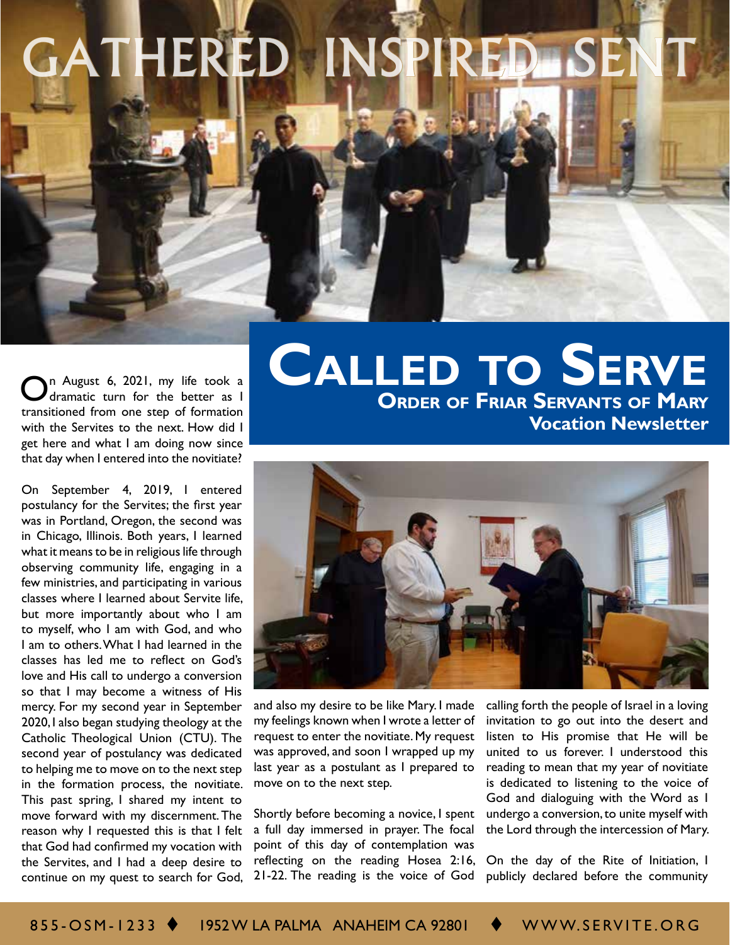## GATHERED INSPIRED SEN

n August 6, 2021, my life took a dramatic turn for the better as I transitioned from one step of formation with the Servites to the next. How did I get here and what I am doing now since that day when I entered into the novitiate?

On September 4, 2019, I entered postulancy for the Servites; the first year was in Portland, Oregon, the second was in Chicago, Illinois. Both years, I learned what it means to be in religious life through observing community life, engaging in a few ministries, and participating in various classes where I learned about Servite life, but more importantly about who I am to myself, who I am with God, and who I am to others. What I had learned in the classes has led me to reflect on God's love and His call to undergo a conversion so that I may become a witness of His mercy. For my second year in September 2020, I also began studying theology at the Catholic Theological Union (CTU). The second year of postulancy was dedicated to helping me to move on to the next step in the formation process, the novitiate. This past spring, I shared my intent to move forward with my discernment. The reason why I requested this is that I felt that God had confirmed my vocation with the Servites, and I had a deep desire to continue on my quest to search for God,

**Order of Friar Servants of Mary Vocation Newsletter Called to Serve**



and also my desire to be like Mary. I made my feelings known when I wrote a letter of request to enter the novitiate. My request was approved, and soon I wrapped up my last year as a postulant as I prepared to move on to the next step.

Shortly before becoming a novice, I spent a full day immersed in prayer. The focal point of this day of contemplation was reflecting on the reading Hosea 2:16, 21-22. The reading is the voice of God

calling forth the people of Israel in a loving invitation to go out into the desert and listen to His promise that He will be united to us forever. I understood this reading to mean that my year of novitiate is dedicated to listening to the voice of God and dialoguing with the Word as I undergo a conversion, to unite myself with the Lord through the intercession of Mary.

On the day of the Rite of Initiation, I publicly declared before the community